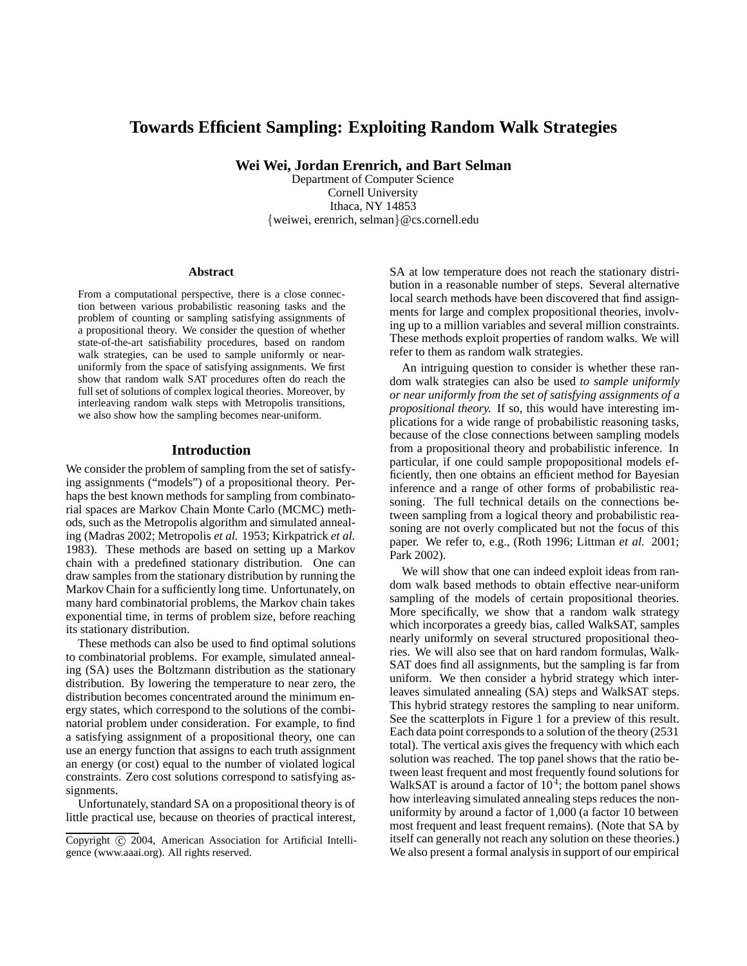# **Towards Efficient Sampling: Exploiting Random Walk Strategies**

**Wei Wei, Jordan Erenrich, and Bart Selman**

Department of Computer Science Cornell University Ithaca, NY 14853 {weiwei, erenrich, selman}@cs.cornell.edu

#### **Abstract**

From a computational perspective, there is a close connection between various probabilistic reasoning tasks and the problem of counting or sampling satisfying assignments of a propositional theory. We consider the question of whether state-of-the-art satisfiability procedures, based on random walk strategies, can be used to sample uniformly or nearuniformly from the space of satisfying assignments. We first show that random walk SAT procedures often do reach the full set of solutions of complex logical theories. Moreover, by interleaving random walk steps with Metropolis transitions, we also show how the sampling becomes near-uniform.

## **Introduction**

We consider the problem of sampling from the set of satisfying assignments ("models") of a propositional theory. Perhaps the best known methods for sampling from combinatorial spaces are Markov Chain Monte Carlo (MCMC) methods, such as the Metropolis algorithm and simulated annealing (Madras 2002; Metropolis *et al.* 1953; Kirkpatrick *et al.* 1983). These methods are based on setting up a Markov chain with a predefined stationary distribution. One can draw samples from the stationary distribution by running the Markov Chain for a sufficiently long time. Unfortunately, on many hard combinatorial problems, the Markov chain takes exponential time, in terms of problem size, before reaching its stationary distribution.

These methods can also be used to find optimal solutions to combinatorial problems. For example, simulated annealing (SA) uses the Boltzmann distribution as the stationary distribution. By lowering the temperature to near zero, the distribution becomes concentrated around the minimum energy states, which correspond to the solutions of the combinatorial problem under consideration. For example, to find a satisfying assignment of a propositional theory, one can use an energy function that assigns to each truth assignment an energy (or cost) equal to the number of violated logical constraints. Zero cost solutions correspond to satisfying assignments.

Unfortunately, standard SA on a propositional theory is of little practical use, because on theories of practical interest,

SA at low temperature does not reach the stationary distribution in a reasonable number of steps. Several alternative local search methods have been discovered that find assignments for large and complex propositional theories, involving up to a million variables and several million constraints. These methods exploit properties of random walks. We will refer to them as random walk strategies.

An intriguing question to consider is whether these random walk strategies can also be used *to sample uniformly or near uniformly from the set of satisfying assignments of a propositional theory.* If so, this would have interesting implications for a wide range of probabilistic reasoning tasks, because of the close connections between sampling models from a propositional theory and probabilistic inference. In particular, if one could sample propopositional models efficiently, then one obtains an efficient method for Bayesian inference and a range of other forms of probabilistic reasoning. The full technical details on the connections between sampling from a logical theory and probabilistic reasoning are not overly complicated but not the focus of this paper. We refer to, e.g., (Roth 1996; Littman *et al.* 2001; Park 2002).

We will show that one can indeed exploit ideas from random walk based methods to obtain effective near-uniform sampling of the models of certain propositional theories. More specifically, we show that a random walk strategy which incorporates a greedy bias, called WalkSAT, samples nearly uniformly on several structured propositional theories. We will also see that on hard random formulas, Walk-SAT does find all assignments, but the sampling is far from uniform. We then consider a hybrid strategy which interleaves simulated annealing (SA) steps and WalkSAT steps. This hybrid strategy restores the sampling to near uniform. See the scatterplots in Figure 1 for a preview of this result. Each data point corresponds to a solution of the theory (2531 total). The vertical axis gives the frequency with which each solution was reached. The top panel shows that the ratio between least frequent and most frequently found solutions for WalkSAT is around a factor of  $10<sup>4</sup>$ ; the bottom panel shows how interleaving simulated annealing steps reduces the nonuniformity by around a factor of 1,000 (a factor 10 between most frequent and least frequent remains). (Note that SA by itself can generally not reach any solution on these theories.) We also present a formal analysis in support of our empirical

Copyright  $\odot$  2004, American Association for Artificial Intelligence (www.aaai.org). All rights reserved.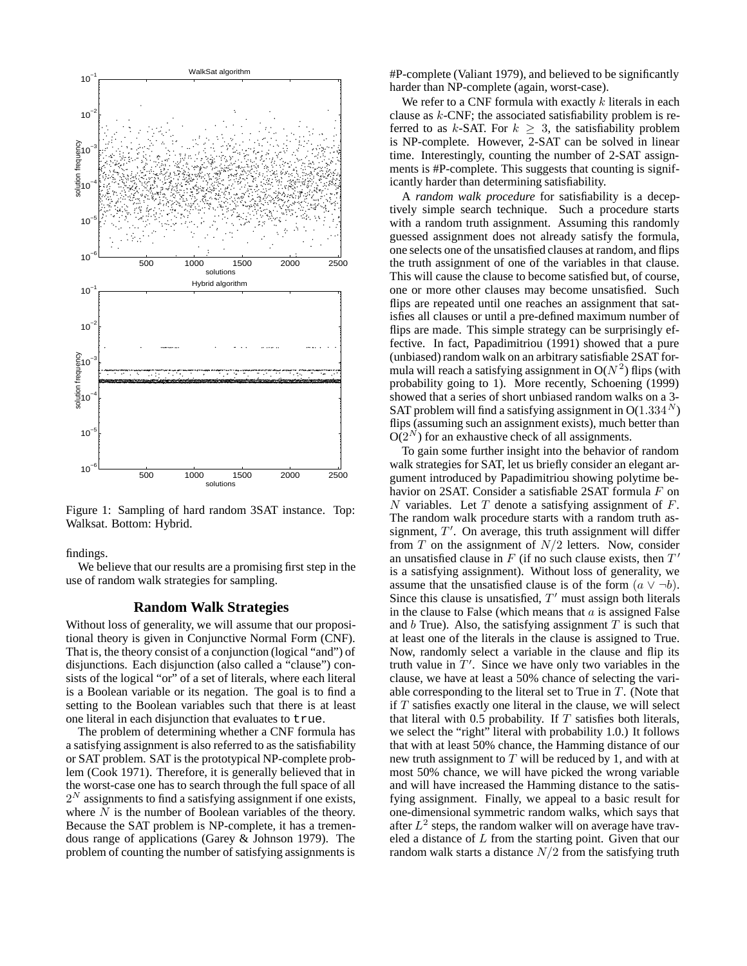

Figure 1: Sampling of hard random 3SAT instance. Top: Walksat. Bottom: Hybrid.

findings.

We believe that our results are a promising first step in the use of random walk strategies for sampling.

#### **Random Walk Strategies**

Without loss of generality, we will assume that our propositional theory is given in Conjunctive Normal Form (CNF). That is, the theory consist of a conjunction (logical "and") of disjunctions. Each disjunction (also called a "clause") consists of the logical "or" of a set of literals, where each literal is a Boolean variable or its negation. The goal is to find a setting to the Boolean variables such that there is at least one literal in each disjunction that evaluates to true.

The problem of determining whether a CNF formula has a satisfying assignment is also referred to as the satisfiability or SAT problem. SAT is the prototypical NP-complete problem (Cook 1971). Therefore, it is generally believed that in the worst-case one has to search through the full space of all  $2<sup>N</sup>$  assignments to find a satisfying assignment if one exists, where  $\overline{N}$  is the number of Boolean variables of the theory. Because the SAT problem is NP-complete, it has a tremendous range of applications (Garey & Johnson 1979). The problem of counting the number of satisfying assignments is

#P-complete (Valiant 1979), and believed to be significantly harder than NP-complete (again, worst-case).

We refer to a CNF formula with exactly  $k$  literals in each clause as  $k$ -CNF; the associated satisfiability problem is referred to as k-SAT. For  $k > 3$ , the satisfiability problem is NP-complete. However, 2-SAT can be solved in linear time. Interestingly, counting the number of 2-SAT assignments is #P-complete. This suggests that counting is significantly harder than determining satisfiability.

A *random walk procedure* for satisfiability is a deceptively simple search technique. Such a procedure starts with a random truth assignment. Assuming this randomly guessed assignment does not already satisfy the formula, one selects one of the unsatisfied clauses at random, and flips the truth assignment of one of the variables in that clause. This will cause the clause to become satisfied but, of course, one or more other clauses may become unsatisfied. Such flips are repeated until one reaches an assignment that satisfies all clauses or until a pre-defined maximum number of flips are made. This simple strategy can be surprisingly effective. In fact, Papadimitriou (1991) showed that a pure (unbiased) random walk on an arbitrary satisfiable 2SAT formula will reach a satisfying assignment in  $O(N^2)$  flips (with probability going to 1). More recently, Schoening (1999) showed that a series of short unbiased random walks on a 3- SAT problem will find a satisfying assignment in  $O(1.334<sup>N</sup>)$ flips (assuming such an assignment exists), much better than  $O(2^N)$  for an exhaustive check of all assignments.

To gain some further insight into the behavior of random walk strategies for SAT, let us briefly consider an elegant argument introduced by Papadimitriou showing polytime behavior on 2SAT. Consider a satisfiable 2SAT formula F on N variables. Let  $T$  denote a satisfying assignment of  $F$ . The random walk procedure starts with a random truth assignment,  $T'$ . On average, this truth assignment will differ from  $T$  on the assignment of  $N/2$  letters. Now, consider an unsatisfied clause in  $F$  (if no such clause exists, then  $T'$ is a satisfying assignment). Without loss of generality, we assume that the unsatisfied clause is of the form  $(a \vee \neg b)$ . Since this clause is unsatisfied,  $T'$  must assign both literals in the clause to False (which means that  $a$  is assigned False and  $b$  True). Also, the satisfying assignment  $T$  is such that at least one of the literals in the clause is assigned to True. Now, randomly select a variable in the clause and flip its truth value in  $T'$ . Since we have only two variables in the clause, we have at least a 50% chance of selecting the variable corresponding to the literal set to True in  $T$ . (Note that if  $T$  satisfies exactly one literal in the clause, we will select that literal with 0.5 probability. If  $T$  satisfies both literals, we select the "right" literal with probability 1.0.) It follows that with at least 50% chance, the Hamming distance of our new truth assignment to  $T$  will be reduced by 1, and with at most 50% chance, we will have picked the wrong variable and will have increased the Hamming distance to the satisfying assignment. Finally, we appeal to a basic result for one-dimensional symmetric random walks, which says that after  $L^2$  steps, the random walker will on average have traveled a distance of  $L$  from the starting point. Given that our random walk starts a distance  $N/2$  from the satisfying truth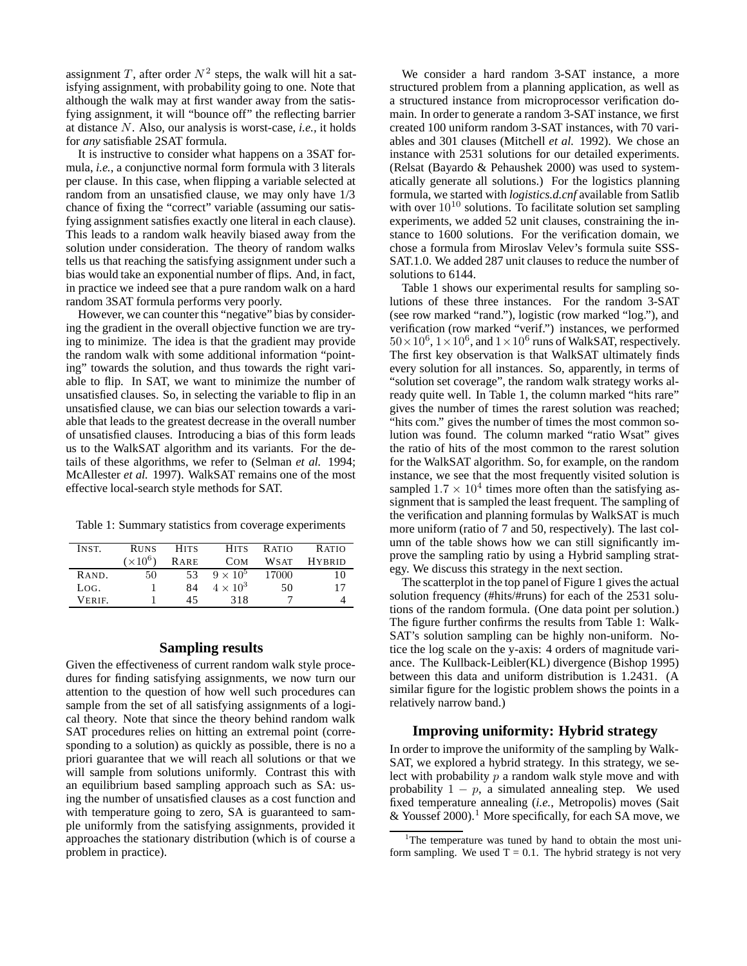assignment T, after order  $N^2$  steps, the walk will hit a satisfying assignment, with probability going to one. Note that although the walk may at first wander away from the satisfying assignment, it will "bounce off" the reflecting barrier at distance N. Also, our analysis is worst-case, *i.e.,* it holds for *any* satisfiable 2SAT formula.

It is instructive to consider what happens on a 3SAT formula, *i.e.*, a conjunctive normal form formula with 3 literals per clause. In this case, when flipping a variable selected at random from an unsatisfied clause, we may only have 1/3 chance of fixing the "correct" variable (assuming our satisfying assignment satisfies exactly one literal in each clause). This leads to a random walk heavily biased away from the solution under consideration. The theory of random walks tells us that reaching the satisfying assignment under such a bias would take an exponential number of flips. And, in fact, in practice we indeed see that a pure random walk on a hard random 3SAT formula performs very poorly.

However, we can counter this "negative" bias by considering the gradient in the overall objective function we are trying to minimize. The idea is that the gradient may provide the random walk with some additional information "pointing" towards the solution, and thus towards the right variable to flip. In SAT, we want to minimize the number of unsatisfied clauses. So, in selecting the variable to flip in an unsatisfied clause, we can bias our selection towards a variable that leads to the greatest decrease in the overall number of unsatisfied clauses. Introducing a bias of this form leads us to the WalkSAT algorithm and its variants. For the details of these algorithms, we refer to (Selman *et al.* 1994; McAllester *et al.* 1997). WalkSAT remains one of the most effective local-search style methods for SAT.

Table 1: Summary statistics from coverage experiments

| INST.        | <b>RUNS</b> | <b>HITS</b> | <b>HITS</b>     | R ATIO      | <b>RATIO</b>  |
|--------------|-------------|-------------|-----------------|-------------|---------------|
|              | $(x10^6)$   | RARE        | <b>COM</b>      | <b>WSAT</b> | <b>HYRRID</b> |
| RAND.        | 50          | 53          | $9 \times 10^5$ | 17000       | 10            |
| LOG.         |             | 84          | $4 \times 10^3$ | 50          | 17            |
| <b>VERIE</b> |             | 45          | 318             |             |               |

# **Sampling results**

Given the effectiveness of current random walk style procedures for finding satisfying assignments, we now turn our attention to the question of how well such procedures can sample from the set of all satisfying assignments of a logical theory. Note that since the theory behind random walk SAT procedures relies on hitting an extremal point (corresponding to a solution) as quickly as possible, there is no a priori guarantee that we will reach all solutions or that we will sample from solutions uniformly. Contrast this with an equilibrium based sampling approach such as SA: using the number of unsatisfied clauses as a cost function and with temperature going to zero, SA is guaranteed to sample uniformly from the satisfying assignments, provided it approaches the stationary distribution (which is of course a problem in practice).

We consider a hard random 3-SAT instance, a more structured problem from a planning application, as well as a structured instance from microprocessor verification domain. In order to generate a random 3-SAT instance, we first created 100 uniform random 3-SAT instances, with 70 variables and 301 clauses (Mitchell *et al.* 1992). We chose an instance with 2531 solutions for our detailed experiments. (Relsat (Bayardo & Pehaushek 2000) was used to systematically generate all solutions.) For the logistics planning formula, we started with *logistics.d.cnf* available from Satlib with over  $10^{10}$  solutions. To facilitate solution set sampling experiments, we added 52 unit clauses, constraining the instance to 1600 solutions. For the verification domain, we chose a formula from Miroslav Velev's formula suite SSS-SAT.1.0. We added 287 unit clauses to reduce the number of solutions to 6144.

Table 1 shows our experimental results for sampling solutions of these three instances. For the random 3-SAT (see row marked "rand."), logistic (row marked "log."), and verification (row marked "verif.") instances, we performed  $50\times10^6$ ,  $1\times10^6$ , and  $1\times10^6$  runs of WalkSAT, respectively. The first key observation is that WalkSAT ultimately finds every solution for all instances. So, apparently, in terms of "solution set coverage", the random walk strategy works already quite well. In Table 1, the column marked "hits rare" gives the number of times the rarest solution was reached; "hits com." gives the number of times the most common solution was found. The column marked "ratio Wsat" gives the ratio of hits of the most common to the rarest solution for the WalkSAT algorithm. So, for example, on the random instance, we see that the most frequently visited solution is sampled  $1.7 \times 10^4$  times more often than the satisfying assignment that is sampled the least frequent. The sampling of the verification and planning formulas by WalkSAT is much more uniform (ratio of 7 and 50, respectively). The last column of the table shows how we can still significantly improve the sampling ratio by using a Hybrid sampling strategy. We discuss this strategy in the next section.

The scatterplot in the top panel of Figure 1 gives the actual solution frequency (#hits/#runs) for each of the 2531 solutions of the random formula. (One data point per solution.) The figure further confirms the results from Table 1: Walk-SAT's solution sampling can be highly non-uniform. Notice the log scale on the y-axis: 4 orders of magnitude variance. The Kullback-Leibler(KL) divergence (Bishop 1995) between this data and uniform distribution is 1.2431. (A similar figure for the logistic problem shows the points in a relatively narrow band.)

# **Improving uniformity: Hybrid strategy**

In order to improve the uniformity of the sampling by Walk-SAT, we explored a hybrid strategy. In this strategy, we select with probability  $p$  a random walk style move and with probability  $1 - p$ , a simulated annealing step. We used fixed temperature annealing (*i.e.*, Metropolis) moves (Sait & Youssef 2000).<sup>1</sup> More specifically, for each SA move, we

<sup>&</sup>lt;sup>1</sup>The temperature was tuned by hand to obtain the most uniform sampling. We used  $T = 0.1$ . The hybrid strategy is not very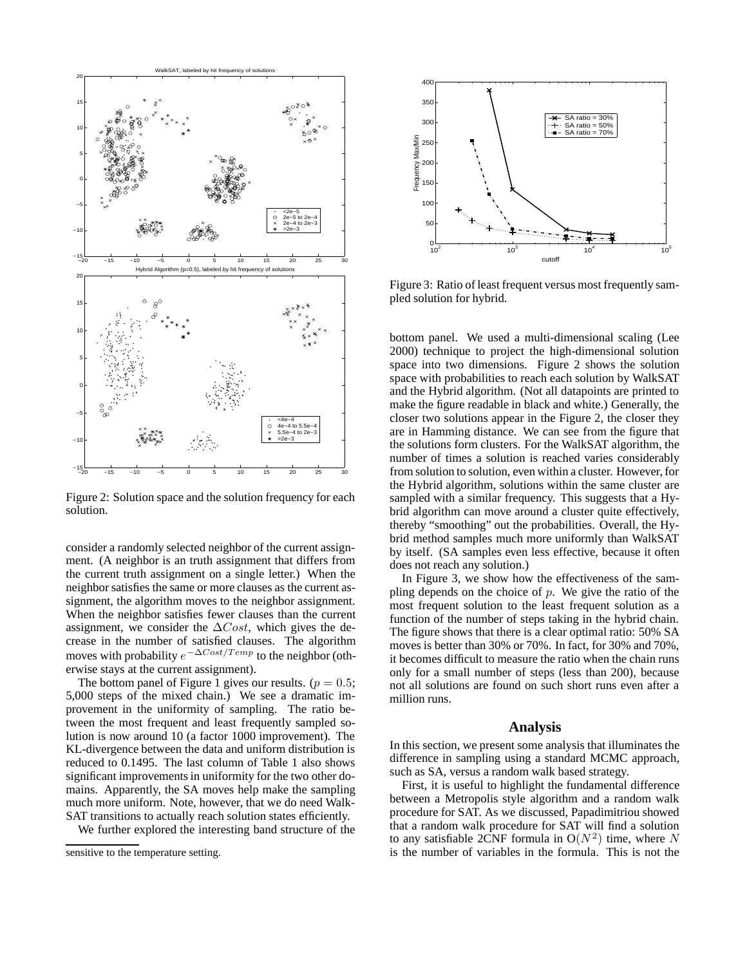

Figure 2: Solution space and the solution frequency for each solution.

consider a randomly selected neighbor of the current assignment. (A neighbor is an truth assignment that differs from the current truth assignment on a single letter.) When the neighbor satisfies the same or more clauses as the current assignment, the algorithm moves to the neighbor assignment. When the neighbor satisfies fewer clauses than the current assignment, we consider the  $\Delta Cost$ , which gives the decrease in the number of satisfied clauses. The algorithm moves with probability  $e^{-\Delta Cost/Temp}$  to the neighbor (otherwise stays at the current assignment).

The bottom panel of Figure 1 gives our results. ( $p = 0.5$ ; 5,000 steps of the mixed chain.) We see a dramatic improvement in the uniformity of sampling. The ratio between the most frequent and least frequently sampled solution is now around 10 (a factor 1000 improvement). The KL-divergence between the data and uniform distribution is reduced to 0.1495. The last column of Table 1 also shows significant improvements in uniformity for the two other domains. Apparently, the SA moves help make the sampling much more uniform. Note, however, that we do need Walk-SAT transitions to actually reach solution states efficiently.

We further explored the interesting band structure of the



Figure 3: Ratio of least frequent versus most frequently sampled solution for hybrid.

bottom panel. We used a multi-dimensional scaling (Lee 2000) technique to project the high-dimensional solution space into two dimensions. Figure 2 shows the solution space with probabilities to reach each solution by WalkSAT and the Hybrid algorithm. (Not all datapoints are printed to make the figure readable in black and white.) Generally, the closer two solutions appear in the Figure 2, the closer they are in Hamming distance. We can see from the figure that the solutions form clusters. For the WalkSAT algorithm, the number of times a solution is reached varies considerably from solution to solution, even within a cluster. However, for the Hybrid algorithm, solutions within the same cluster are sampled with a similar frequency. This suggests that a Hybrid algorithm can move around a cluster quite effectively, thereby "smoothing" out the probabilities. Overall, the Hybrid method samples much more uniformly than WalkSAT by itself. (SA samples even less effective, because it often does not reach any solution.)

In Figure 3, we show how the effectiveness of the sampling depends on the choice of  $p$ . We give the ratio of the most frequent solution to the least frequent solution as a function of the number of steps taking in the hybrid chain. The figure shows that there is a clear optimal ratio: 50% SA moves is better than 30% or 70%. In fact, for 30% and 70%, it becomes difficult to measure the ratio when the chain runs only for a small number of steps (less than 200), because not all solutions are found on such short runs even after a million runs.

#### **Analysis**

In this section, we present some analysis that illuminates the difference in sampling using a standard MCMC approach, such as SA, versus a random walk based strategy.

First, it is useful to highlight the fundamental difference between a Metropolis style algorithm and a random walk procedure for SAT. As we discussed, Papadimitriou showed that a random walk procedure for SAT will find a solution to any satisfiable 2CNF formula in  $O(N^2)$  time, where N is the number of variables in the formula. This is not the

sensitive to the temperature setting.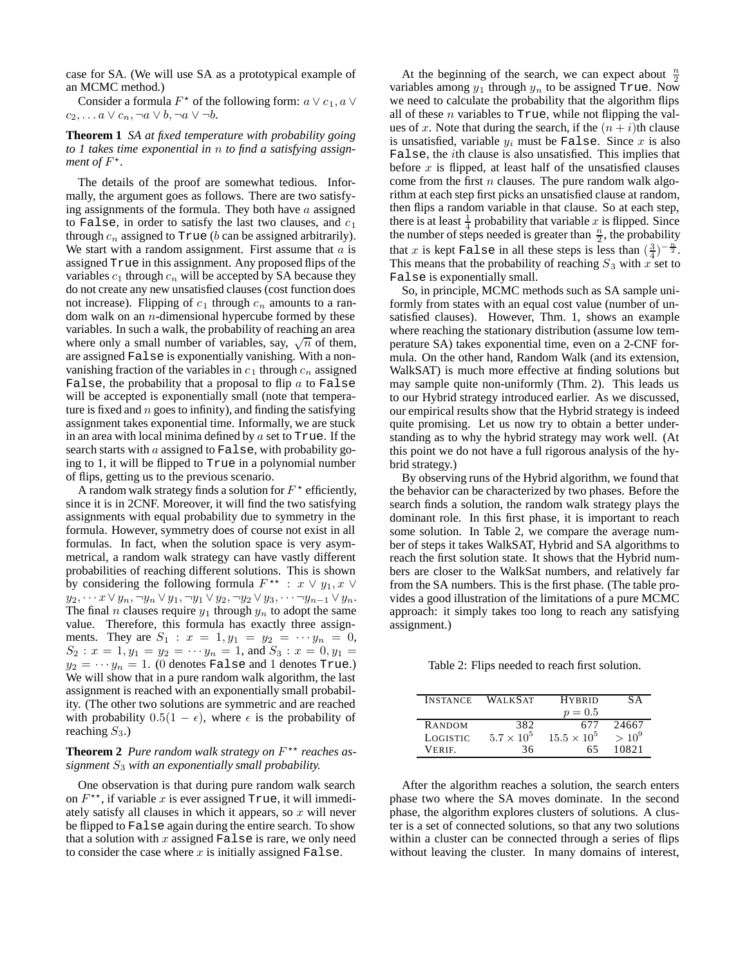case for SA. (We will use SA as a prototypical example of an MCMC method.)

Consider a formula  $F^*$  of the following form:  $a \vee c_1, a \vee c_2$  $c_2, \ldots a \vee c_n, \neg a \vee b, \neg a \vee \neg b.$ 

**Theorem 1** *SA at fixed temperature with probability going to 1 takes time exponential in* n *to find a satisfying assignment of*  $F^*$ .

The details of the proof are somewhat tedious. Informally, the argument goes as follows. There are two satisfying assignments of the formula. They both have  $a$  assigned to False, in order to satisfy the last two clauses, and  $c_1$ through  $c_n$  assigned to True (b can be assigned arbitrarily). We start with a random assignment. First assume that  $a$  is assigned True in this assignment. Any proposed flips of the variables  $c_1$  through  $c_n$  will be accepted by SA because they do not create any new unsatisfied clauses (cost function does not increase). Flipping of  $c_1$  through  $c_n$  amounts to a random walk on an  $n$ -dimensional hypercube formed by these variables. In such a walk, the probability of reaching an area where only a small number of variables, say,  $\sqrt{n}$  of them, are assigned False is exponentially vanishing. With a nonvanishing fraction of the variables in  $c_1$  through  $c_n$  assigned False, the probability that a proposal to flip  $a$  to False will be accepted is exponentially small (note that temperature is fixed and  $n$  goes to infinity), and finding the satisfying assignment takes exponential time. Informally, we are stuck in an area with local minima defined by  $a$  set to True. If the search starts with  $a$  assigned to False, with probability going to 1, it will be flipped to True in a polynomial number of flips, getting us to the previous scenario.

A random walk strategy finds a solution for  $F^*$  efficiently, since it is in 2CNF. Moreover, it will find the two satisfying assignments with equal probability due to symmetry in the formula. However, symmetry does of course not exist in all formulas. In fact, when the solution space is very asymmetrical, a random walk strategy can have vastly different probabilities of reaching different solutions. This is shown by considering the following formula  $F^{\star\star}$  :  $x \vee y_1, x \vee$  $y_2, \cdots x \vee y_n, \neg y_n \vee y_1, \neg y_1 \vee y_2, \neg y_2 \vee y_3, \cdots \neg y_{n-1} \vee y_n.$ The final *n* clauses require  $y_1$  through  $y_n$  to adopt the same value. Therefore, this formula has exactly three assignments. They are  $S_1 : x = 1, y_1 = y_2 = \cdots y_n = 0$ ,  $S_2: x = 1, y_1 = y_2 = \cdots y_n = 1$ , and  $S_3: x = 0, y_1 =$  $y_2 = \cdots y_n = 1$ . (0 denotes False and 1 denotes True.) We will show that in a pure random walk algorithm, the last assignment is reached with an exponentially small probability. (The other two solutions are symmetric and are reached with probability  $0.5(1 - \epsilon)$ , where  $\epsilon$  is the probability of reaching  $S_3$ .)

# Theorem 2 *Pure random walk strategy on*  $F^{\star\star}$  reaches as*signment* S<sup>3</sup> *with an exponentially small probability.*

One observation is that during pure random walk search on  $F^{\star\star}$ , if variable x is ever assigned True, it will immediately satisfy all clauses in which it appears, so  $x$  will never be flipped to False again during the entire search. To show that a solution with  $x$  assigned False is rare, we only need to consider the case where  $x$  is initially assigned False.

At the beginning of the search, we can expect about  $\frac{n}{2}$ variables among  $y_1$  through  $y_n$  to be assigned True. Now we need to calculate the probability that the algorithm flips all of these  $n$  variables to  $True$ , while not flipping the values of x. Note that during the search, if the  $(n + i)$ th clause is unsatisfied, variable  $y_i$  must be False. Since x is also False, the ith clause is also unsatisfied. This implies that before  $x$  is flipped, at least half of the unsatisfied clauses come from the first  $n$  clauses. The pure random walk algorithm at each step first picks an unsatisfied clause at random, then flips a random variable in that clause. So at each step, there is at least  $\frac{1}{4}$  probability that variable x is flipped. Since the number of steps needed is greater than  $\frac{n}{2}$ , the probability that x is kept False in all these steps is less than  $(\frac{3}{4})^{-\frac{n}{2}}$ .<br>This means that the probability of reaching  $S_2$  with x set to This means that the probability of reaching  $S_3$  with x set to False is exponentially small.

So, in principle, MCMC methods such as SA sample uniformly from states with an equal cost value (number of unsatisfied clauses). However, Thm. 1, shows an example where reaching the stationary distribution (assume low temperature SA) takes exponential time, even on a 2-CNF formula. On the other hand, Random Walk (and its extension, WalkSAT) is much more effective at finding solutions but may sample quite non-uniformly (Thm. 2). This leads us to our Hybrid strategy introduced earlier. As we discussed, our empirical results show that the Hybrid strategy is indeed quite promising. Let us now try to obtain a better understanding as to why the hybrid strategy may work well. (At this point we do not have a full rigorous analysis of the hybrid strategy.)

By observing runs of the Hybrid algorithm, we found that the behavior can be characterized by two phases. Before the search finds a solution, the random walk strategy plays the dominant role. In this first phase, it is important to reach some solution. In Table 2, we compare the average number of steps it takes WalkSAT, Hybrid and SA algorithms to reach the first solution state. It shows that the Hybrid numbers are closer to the WalkSat numbers, and relatively far from the SA numbers. This is the first phase. (The table provides a good illustration of the limitations of a pure MCMC approach: it simply takes too long to reach any satisfying assignment.)

Table 2: Flips needed to reach first solution.

| <b>INSTANCE</b> | WALKS AT          | <b>HYRRID</b>        | SА       |
|-----------------|-------------------|----------------------|----------|
|                 |                   | $p = 0.5$            |          |
| RANDOM          | 382               | 677                  | 24667    |
| LOGISTIC        | $5.7 \times 10^5$ | $15.5 \times 10^{5}$ | $> 10^9$ |
| VERIE.          | 36                | 65                   | 10821    |

After the algorithm reaches a solution, the search enters phase two where the SA moves dominate. In the second phase, the algorithm explores clusters of solutions. A cluster is a set of connected solutions, so that any two solutions within a cluster can be connected through a series of flips without leaving the cluster. In many domains of interest,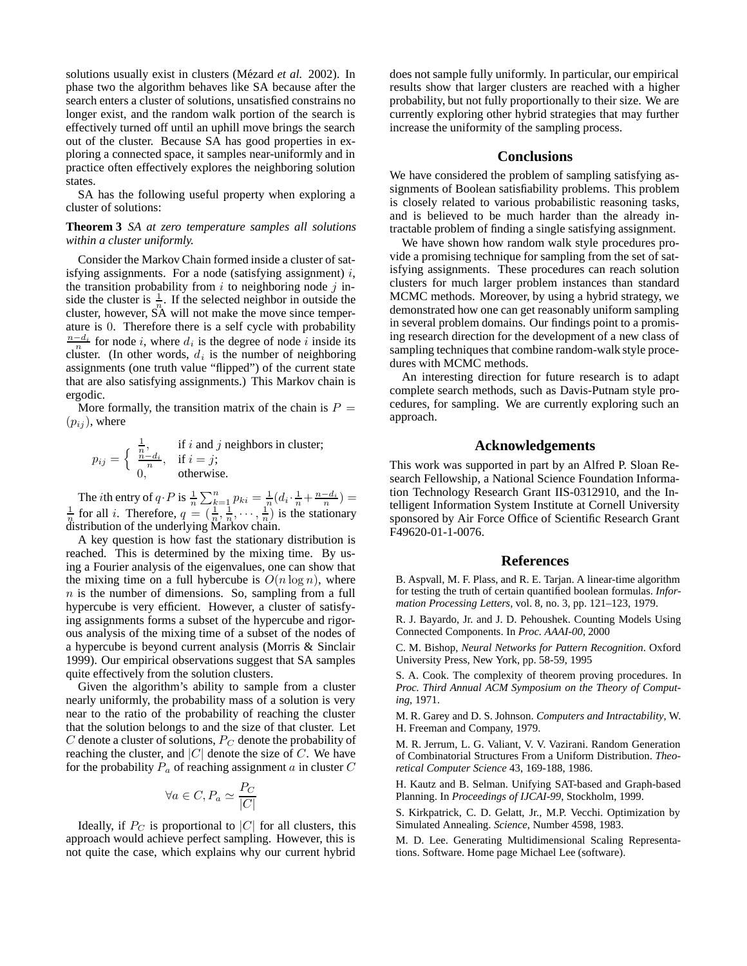solutions usually exist in clusters (Mézard *et al.* 2002). In phase two the algorithm behaves like SA because after the search enters a cluster of solutions, unsatisfied constrains no longer exist, and the random walk portion of the search is effectively turned off until an uphill move brings the search out of the cluster. Because SA has good properties in exploring a connected space, it samples near-uniformly and in practice often effectively explores the neighboring solution states.

SA has the following useful property when exploring a cluster of solutions:

#### **Theorem 3** *SA at zero temperature samples all solutions within a cluster uniformly.*

Consider the Markov Chain formed inside a cluster of satisfying assignments. For a node (satisfying assignment)  $i$ , the transition probability from  $i$  to neighboring node  $j$  inside the cluster is  $\frac{1}{n}$ . If the selected neighbor in outside the cluster, however, SA will not make the move since temperature is 0. Therefore there is a self cycle with probability  $\frac{n-d_i}{n}$  for node i, where  $d_i$  is the degree of node i inside its cluster. (In other words,  $d_i$  is the number of neighboring assignments (one truth value "flipped") of the current state that are also satisfying assignments.) This Markov chain is ergodic.

More formally, the transition matrix of the chain is  $P =$  $(p_{ij})$ , where

$$
p_{ij} = \begin{cases} \frac{1}{n}, & \text{if } i \text{ and } j \text{ neighbors in cluster;} \\ \frac{n - d_i}{n}, & \text{if } i = j; \\ 0, & \text{otherwise.} \end{cases}
$$

The *i*th entry of  $q \cdot P$  is  $\frac{1}{n} \sum_{k=1}^{n} p_{ki} = \frac{1}{n} (d_i \cdot \frac{1}{n} + \frac{n-d_i}{n}) = \frac{1}{n}$  for all *i*. Therefore,  $q = (\frac{1}{n}, \frac{1}{n}, \dots, \frac{1}{n})$  is the stationary distribution of the underlying Markov chain.

A key question is how fast the stationary distribution is reached. This is determined by the mixing time. By using a Fourier analysis of the eigenvalues, one can show that the mixing time on a full hybercube is  $O(n \log n)$ , where  $n$  is the number of dimensions. So, sampling from a full hypercube is very efficient. However, a cluster of satisfying assignments forms a subset of the hypercube and rigorous analysis of the mixing time of a subset of the nodes of a hypercube is beyond current analysis (Morris & Sinclair 1999). Our empirical observations suggest that SA samples quite effectively from the solution clusters.

Given the algorithm's ability to sample from a cluster nearly uniformly, the probability mass of a solution is very near to the ratio of the probability of reaching the cluster that the solution belongs to and the size of that cluster. Let  $C$  denote a cluster of solutions,  $P_C$  denote the probability of reaching the cluster, and  $|C|$  denote the size of  $C$ . We have for the probability  $\mathcal{P}_a$  of reaching assignment  $a$  in cluster  $C$ 

$$
\forall a \in C, P_a \simeq \frac{P_C}{|C|}
$$

Ideally, if  $P_C$  is proportional to  $|C|$  for all clusters, this approach would achieve perfect sampling. However, this is not quite the case, which explains why our current hybrid

does not sample fully uniformly. In particular, our empirical results show that larger clusters are reached with a higher probability, but not fully proportionally to their size. We are currently exploring other hybrid strategies that may further increase the uniformity of the sampling process.

# **Conclusions**

We have considered the problem of sampling satisfying assignments of Boolean satisfiability problems. This problem is closely related to various probabilistic reasoning tasks, and is believed to be much harder than the already intractable problem of finding a single satisfying assignment.

We have shown how random walk style procedures provide a promising technique for sampling from the set of satisfying assignments. These procedures can reach solution clusters for much larger problem instances than standard MCMC methods. Moreover, by using a hybrid strategy, we demonstrated how one can get reasonably uniform sampling in several problem domains. Our findings point to a promising research direction for the development of a new class of sampling techniques that combine random-walk style procedures with MCMC methods.

An interesting direction for future research is to adapt complete search methods, such as Davis-Putnam style procedures, for sampling. We are currently exploring such an approach.

# **Acknowledgements**

This work was supported in part by an Alfred P. Sloan Research Fellowship, a National Science Foundation Information Technology Research Grant IIS-0312910, and the Intelligent Information System Institute at Cornell University sponsored by Air Force Office of Scientific Research Grant F49620-01-1-0076.

#### **References**

B. Aspvall, M. F. Plass, and R. E. Tarjan. A linear-time algorithm for testing the truth of certain quantified boolean formulas. *Information Processing Letters*, vol. 8, no. 3, pp. 121–123, 1979.

R. J. Bayardo, Jr. and J. D. Pehoushek. Counting Models Using Connected Components. In *Proc. AAAI-00*, 2000

C. M. Bishop, *Neural Networks for Pattern Recognition*. Oxford University Press, New York, pp. 58-59, 1995

S. A. Cook. The complexity of theorem proving procedures. In *Proc. Third Annual ACM Symposium on the Theory of Computing*, 1971.

M. R. Garey and D. S. Johnson. *Computers and Intractability*, W. H. Freeman and Company, 1979.

M. R. Jerrum, L. G. Valiant, V. V. Vazirani. Random Generation of Combinatorial Structures From a Uniform Distribution. *Theoretical Computer Science* 43, 169-188, 1986.

H. Kautz and B. Selman. Unifying SAT-based and Graph-based Planning. In *Proceedings of IJCAI-99*, Stockholm, 1999.

S. Kirkpatrick, C. D. Gelatt, Jr., M.P. Vecchi. Optimization by Simulated Annealing. *Science*, Number 4598, 1983.

M. D. Lee. Generating Multidimensional Scaling Representations. Software. Home page Michael Lee (software).